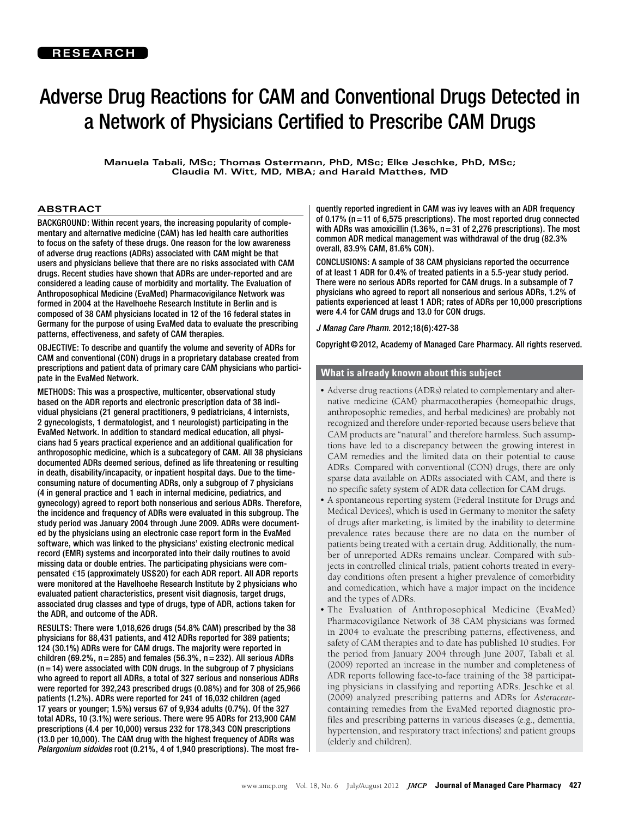**Manuela Tabali, MSc; Thomas Ostermann, PhD, MSc; Elke Jeschke, PhD, MSc; Claudia M. Witt, MD, MBA; and Harald Matthes, MD**

### **ABSTRACT**

BACKGROUND: Within recent years, the increasing popularity of complementary and alternative medicine (CAM) has led health care authorities to focus on the safety of these drugs. One reason for the low awareness of adverse drug reactions (ADRs) associated with CAM might be that users and physicians believe that there are no risks associated with CAM drugs. Recent studies have shown that ADRs are under-reported and are considered a leading cause of morbidity and mortality. The Evaluation of Anthroposophical Medicine (EvaMed) Pharmacovigilance Network was formed in 2004 at the Havelhoehe Research Institute in Berlin and is composed of 38 CAM physicians located in 12 of the 16 federal states in Germany for the purpose of using EvaMed data to evaluate the prescribing patterns, effectiveness, and safety of CAM therapies.

OBJECTIVE: To describe and quantify the volume and severity of ADRs for CAM and conventional (CON) drugs in a proprietary database created from prescriptions and patient data of primary care CAM physicians who participate in the EvaMed Network.

METHODS: This was a prospective, multicenter, observational study based on the ADR reports and electronic prescription data of 38 individual physicians (21 general practitioners, 9 pediatricians, 4 internists, 2 gynecologists, 1 dermatologist, and 1 neurologist) participating in the EvaMed Network. In addition to standard medical education, all physicians had 5 years practical experience and an additional qualification for anthroposophic medicine, which is a subcategory of CAM. All 38 physicians documented ADRs deemed serious, defined as life threatening or resulting in death, disability/incapacity, or inpatient hospital days. Due to the timeconsuming nature of documenting ADRs, only a subgroup of 7 physicians (4 in general practice and 1 each in internal medicine, pediatrics, and gynecology) agreed to report both nonserious and serious ADRs. Therefore, the incidence and frequency of ADRs were evaluated in this subgroup. The study period was January 2004 through June 2009. ADRs were documented by the physicians using an electronic case report form in the EvaMed software, which was linked to the physicians' existing electronic medical record (EMR) systems and incorporated into their daily routines to avoid missing data or double entries. The participating physicians were compensated **€**15 (approximately US\$20) for each ADR report. All ADR reports were monitored at the Havelhoehe Research Institute by 2 physicians who evaluated patient characteristics, present visit diagnosis, target drugs, associated drug classes and type of drugs, type of ADR, actions taken for the ADR, and outcome of the ADR.

RESULTS: There were 1,018,626 drugs (54.8% CAM) prescribed by the 38 physicians for 88,431 patients, and 412 ADRs reported for 389 patients; 124 (30.1%) ADRs were for CAM drugs. The majority were reported in children (69.2%,  $n=285$ ) and females (56.3%,  $n=232$ ). All serious ADRs  $(n=14)$  were associated with CON drugs. In the subgroup of 7 physicians who agreed to report all ADRs, a total of 327 serious and nonserious ADRs were reported for 392,243 prescribed drugs (0.08%) and for 308 of 25,966 patients (1.2%). ADRs were reported for 241 of 16,032 children (aged 17 years or younger; 1.5%) versus 67 of 9,934 adults (0.7%). Of the 327 total ADRs, 10 (3.1%) were serious. There were 95 ADRs for 213,900 CAM prescriptions (4.4 per 10,000) versus 232 for 178,343 CON prescriptions (13.0 per 10,000). The CAM drug with the highest frequency of ADRs was *Pelargonium sidoides* root (0.21%, 4 of 1,940 prescriptions). The most fre-

quently reported ingredient in CAM was ivy leaves with an ADR frequency of 0.17% (n=11 of 6,575 prescriptions). The most reported drug connected with ADRs was amoxicillin  $(1.36\% , n=31$  of 2,276 prescriptions). The most common ADR medical management was withdrawal of the drug (82.3% overall, 83.9% CAM, 81.6% CON).

CONCLUSIONS: A sample of 38 CAM physicians reported the occurrence of at least 1 ADR for 0.4% of treated patients in a 5.5-year study period. There were no serious ADRs reported for CAM drugs. In a subsample of 7 physicians who agreed to report all nonserious and serious ADRs, 1.2% of patients experienced at least 1 ADR; rates of ADRs per 10,000 prescriptions were 4.4 for CAM drugs and 13.0 for CON drugs.

*J Manag Care Pharm.* 2012;18(6):427-38

Copyright©2012, Academy of Managed Care Pharmacy. All rights reserved.

## **What is already known about this subject**

- Adverse drug reactions (ADRs) related to complementary and alternative medicine (CAM) pharmacotherapies (homeopathic drugs, anthroposophic remedies, and herbal medicines) are probably not recognized and therefore under-reported because users believe that CAM products are "natural" and therefore harmless. Such assumptions have led to a discrepancy between the growing interest in CAM remedies and the limited data on their potential to cause ADRs. Compared with conventional (CON) drugs, there are only sparse data available on ADRs associated with CAM, and there is no specific safety system of ADR data collection for CAM drugs.
- • A spontaneous reporting system (Federal Institute for Drugs and Medical Devices), which is used in Germany to monitor the safety of drugs after marketing, is limited by the inability to determine prevalence rates because there are no data on the number of patients being treated with a certain drug. Additionally, the number of unreported ADRs remains unclear. Compared with subjects in controlled clinical trials, patient cohorts treated in everyday conditions often present a higher prevalence of comorbidity and comedication, which have a major impact on the incidence and the types of ADRs.
- The Evaluation of Anthroposophical Medicine (EvaMed) Pharmacovigilance Network of 38 CAM physicians was formed in 2004 to evaluate the prescribing patterns, effectiveness, and safety of CAM therapies and to date has published 10 studies. For the period from January 2004 through June 2007, Tabali et al. (2009) reported an increase in the number and completeness of ADR reports following face-to-face training of the 38 participating physicians in classifying and reporting ADRs. Jeschke et al. (2009) analyzed prescribing patterns and ADRs for *Asteraceae*containing remedies from the EvaMed reported diagnostic profiles and prescribing patterns in various diseases (e.g., dementia, hypertension, and respiratory tract infections) and patient groups (elderly and children).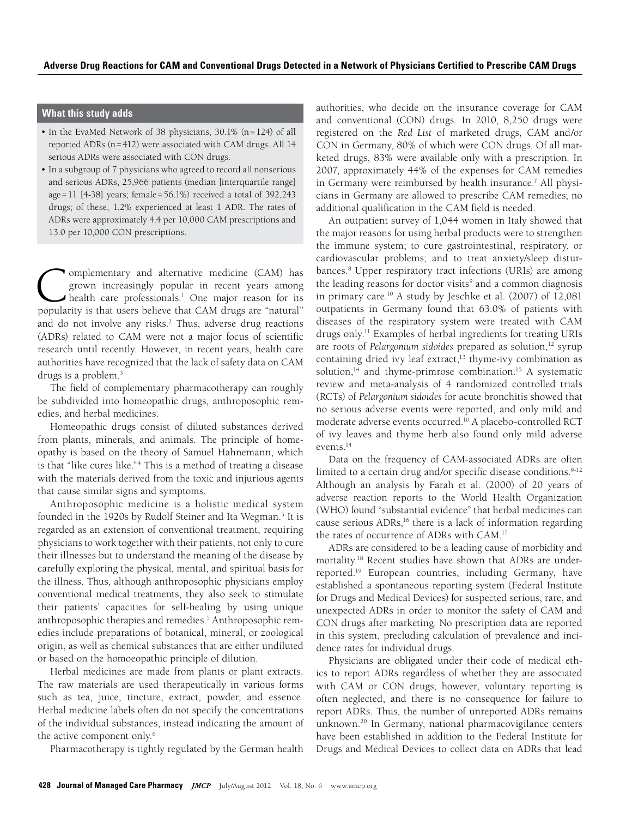## **What this study adds**

- In the EvaMed Network of 38 physicians, 30.1% (n=124) of all reported ADRs (n=412) were associated with CAM drugs. All 14 serious ADRs were associated with CON drugs.
- In a subgroup of 7 physicians who agreed to record all nonserious and serious ADRs, 25,966 patients (median [interquartile range] age=11 [4-38] years; female=56.1%) received a total of 392,243 drugs; of these, 1.2% experienced at least 1 ADR. The rates of ADRs were approximately 4.4 per 10,000 CAM prescriptions and 13.0 per 10,000 CON prescriptions.

**Complementary and alternative medicine (CAM) has grown increasingly popular in recent years among health care professionals.<sup>1</sup> One major reason for its popularity is that users believe that CAM drugs are "natural"** grown increasingly popular in recent years among health care professionals.<sup>[1](http://www.amcp.org/WorkArea/DownloadAsset.aspx?id=7132)</sup> One major reason for its popularity is that users believe that CAM drugs are "natural" and do not involve any risks.<sup>[2](https://www.mja.com.au/journal/2004/181/4/other-side-coin-safety-complementary-and-alternative-medicine)</sup> Thus, adverse drug reactions (ADRs) related to CAM were not a major focus of scientific research until recently. However, in recent years, health care authorities have recognized that the lack of safety data on CAM drugs is a problem.<sup>3</sup>

The field of complementary pharmacotherapy can roughly be subdivided into homeopathic drugs, anthroposophic remedies, and herbal medicines.

Homeopathic drugs consist of diluted substances derived from plants, minerals, and animals. The principle of homeopathy is based on the theory of Samuel Hahnemann, which is that "like cures like."<sup>[4](http://nccam.nih.gov/health/homeopathy)</sup> This is a method of treating a disease with the materials derived from the toxic and injurious agents that cause similar signs and symptoms.

Anthroposophic medicine is a holistic medical system founded in the 1920s by Rudolf Steiner and Ita Wegman.<sup>5</sup> It is regarded as an extension of conventional treatment, requiring physicians to work together with their patients, not only to cure their illnesses but to understand the meaning of the disease by carefully exploring the physical, mental, and spiritual basis for the illness. Thus, although anthroposophic physicians employ conventional medical treatments, they also seek to stimulate their patients' capacities for self-healing by using unique anthroposophic therapies and remedies.<sup>5</sup> Anthroposophic remedies include preparations of botanical, mineral, or zoological origin, as well as chemical substances that are either undiluted or based on the homoeopathic principle of dilution.

Herbal medicines are made from plants or plant extracts. The raw materials are used therapeutically in various forms such as tea, juice, tincture, extract, powder, and essence. Herbal medicine labels often do not specify the concentrations of the individual substances, instead indicating the amount of the active component only.<sup>[6](http://abc.herbalgram.org/site/PageServer?pagename=Terminology)</sup>

Pharmacotherapy is tightly regulated by the German health

authorities, who decide on the insurance coverage for CAM and conventional (CON) drugs. In 2010, 8,250 drugs were registered on the *Red List* of marketed drugs, CAM and/or CON in Germany, 80% of which were CON drugs. Of all marketed drugs, 83% were available only with a prescription. In 2007, approximately 44% of the expenses for CAM remedies in Germany were reimbursed by health insurance.<sup>[7](http://www.aerzteblatt.de/archiv/57593)</sup> All physicians in Germany are allowed to prescribe CAM remedies; no additional qualification in the CAM field is needed.

An outpatient survey of 1,044 women in Italy showed that the major reasons for using herbal products were to strengthen the immune system; to cure gastrointestinal, respiratory, or cardiovascular problems; and to treat anxiety/sleep disturbances.<sup>8</sup> Upper respiratory tract infections (URIs) are among the leading reasons for doctor visits<sup>9</sup> and a common diagnosis in primary care.<sup>10</sup> A study by Jeschke et al. (2007) of 12,081 outpatients in Germany found that 63.0% of patients with diseases of the respiratory system were treated with CAM drugs only.<sup>11</sup> Examples of herbal ingredients for treating URIs are roots of *Pelargonium sidoides* prepared as solution,<sup>12</sup> syrup containing dried ivy leaf extract, $13$  thyme-ivy combination as solution, $14$  and thyme-primrose combination.<sup>15</sup> A systematic review and meta-analysis of 4 randomized controlled trials (RCTs) of *Pelargonium sidoides* for acute bronchitis showed that no serious adverse events were reported, and only mild and moderate adverse events occurred.<sup>10</sup> A placebo-controlled RCT of ivy leaves and thyme herb also found only mild adverse events.14

Data on the frequency of CAM-associated ADRs are often limited to a certain drug and/or specific disease conditions.<sup>9-12</sup> Although an analysis by Farah et al. (2000) of 20 years of adverse reaction reports to the World Health Organization (WHO) found "substantial evidence" that herbal medicines can cause serious  $ADRs$ ,<sup>16</sup> there is a lack of information regarding the rates of occurrence of ADRs with CAM.[17](http://www.ncbi.nlm.nih.gov/pmc/articles/PMC1884207/?tool=pubmed)

ADRs are considered to be a leading cause of morbidity and mortality.<sup>18</sup> Recent studies have shown that ADRs are underreported.19 European countries, including Germany, have established a spontaneous reporting system (Federal Institute for Drugs and Medical Devices) for suspected serious, rare, and unexpected ADRs in order to monitor the safety of CAM and CON drugs after marketing. No prescription data are reported in this system, precluding calculation of prevalence and incidence rates for individual drugs.

Physicians are obligated under their code of medical ethics to report ADRs regardless of whether they are associated with CAM or CON drugs; however, voluntary reporting is often neglected, and there is no consequence for failure to report ADRs. Thus, the number of unreported ADRs remains unknown.<sup>20</sup> In Germany, national pharmacovigilance centers have been established in addition to the Federal Institute for Drugs and Medical Devices to collect data on ADRs that lead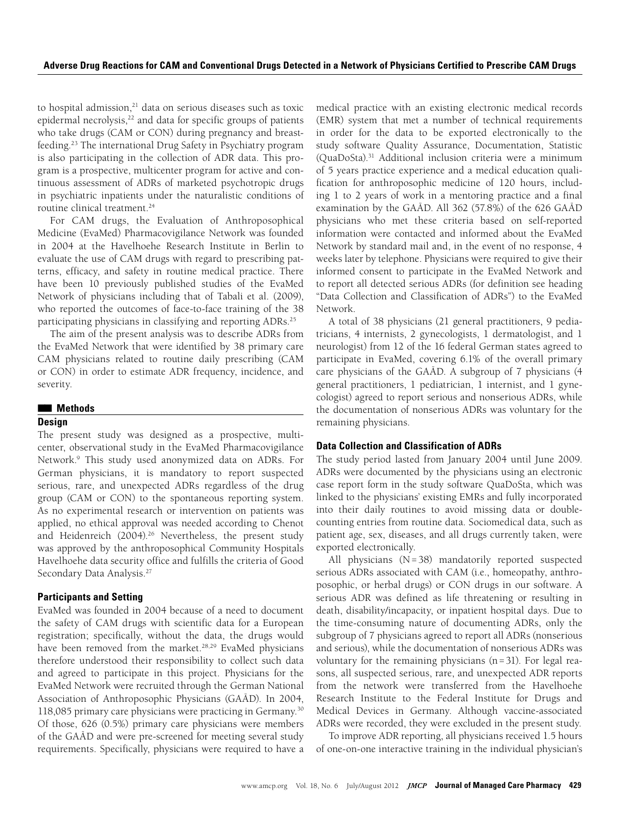to hospital admission, $21$  data on serious diseases such as toxic epidermal necrolysis,<sup>22</sup> and data for specific groups of patients who take drugs (CAM or CON) during pregnancy and breastfeeding.23 The international Drug Safety in Psychiatry program is also participating in the collection of ADR data. This program is a prospective, multicenter program for active and continuous assessment of ADRs of marketed psychotropic drugs in psychiatric inpatients under the naturalistic conditions of routine clinical treatment.<sup>24</sup>

For CAM drugs, the Evaluation of Anthroposophical Medicine (EvaMed) Pharmacovigilance Network was founded in 2004 at the Havelhoehe Research Institute in Berlin to evaluate the use of CAM drugs with regard to prescribing patterns, efficacy, and safety in routine medical practice. There have been 10 previously published studies of the EvaMed Network of physicians including that of Tabali et al. (2009), who reported the outcomes of face-to-face training of the 38 participating physicians in classifying and reporting ADRs.<sup>[25](http://www.ncbi.nlm.nih.gov/pmc/articles/PMC2728721/?tool=pubmed)</sup>

The aim of the present analysis was to describe ADRs from the EvaMed Network that were identified by 38 primary care CAM physicians related to routine daily prescribing (CAM or CON) in order to estimate ADR frequency, incidence, and severity.

## ■■  **Methods**

## **Design**

The present study was designed as a prospective, multicenter, observational study in the EvaMed Pharmacovigilance Network.9 This study used anonymized data on ADRs. For German physicians, it is mandatory to report suspected serious, rare, and unexpected ADRs regardless of the drug group (CAM or CON) to the spontaneous reporting system. As no experimental research or intervention on patients was applied, no ethical approval was needed according to Chenot and Heidenreich (2004).<sup>26</sup> Nevertheless, the present study was approved by the anthroposophical Community Hospitals Havelhoehe data security office and fulfills the criteria of Good Secondary Data Analysis.<sup>27</sup>

## **Participants and Setting**

EvaMed was founded in 2004 because of a need to document the safety of CAM drugs with scientific data for a European registration; specifically, without the data, the drugs would have been removed from the market.<sup>28,[29](http://eur-lex.europa.eu/LexUriServ/LexUriServ.do?uri=OJ:L:2004:136:0085:0090:de:PDF)</sup> EvaMed physicians therefore understood their responsibility to collect such data and agreed to participate in this project. Physicians for the EvaMed Network were recruited through the German National Association of Anthroposophic Physicians (GAÄD). In 2004, 118,085 primary care physicians were practicing in Germany.<sup>[30](http://www.kbv.de/publikationen/36943.html)</sup> Of those, 626 (0.5%) primary care physicians were members of the GAÄD and were pre-screened for meeting several study requirements. Specifically, physicians were required to have a medical practice with an existing electronic medical records (EMR) system that met a number of technical requirements in order for the data to be exported electronically to the study software Quality Assurance, Documentation, Statistic (QuaDoSta).[31](http://www.egms.de/static/en/journals/mibe/2007-3/mibe000058.shtml) Additional inclusion criteria were a minimum of 5 years practice experience and a medical education qualification for anthroposophic medicine of 120 hours, including 1 to 2 years of work in a mentoring practice and a final examination by the GAÄD. All 362 (57.8%) of the 626 GAÄD physicians who met these criteria based on self-reported information were contacted and informed about the EvaMed Network by standard mail and, in the event of no response, 4 weeks later by telephone. Physicians were required to give their informed consent to participate in the EvaMed Network and to report all detected serious ADRs (for definition see heading "Data Collection and Classification of ADRs") to the EvaMed Network.

A total of 38 physicians (21 general practitioners, 9 pediatricians, 4 internists, 2 gynecologists, 1 dermatologist, and 1 neurologist) from 12 of the 16 federal German states agreed to participate in EvaMed, covering 6.1% of the overall primary care physicians of the GAÄD. A subgroup of 7 physicians (4 general practitioners, 1 pediatrician, 1 internist, and 1 gynecologist) agreed to report serious and nonserious ADRs, while the documentation of nonserious ADRs was voluntary for the remaining physicians.

## **Data Collection and Classification of ADRs**

The study period lasted from January 2004 until June 2009. ADRs were documented by the physicians using an electronic case report form in the study software QuaDoSta, which was linked to the physicians' existing EMRs and fully incorporated into their daily routines to avoid missing data or doublecounting entries from routine data. Sociomedical data, such as patient age, sex, diseases, and all drugs currently taken, were exported electronically.

All physicians (N=38) mandatorily reported suspected serious ADRs associated with CAM (i.e., homeopathy, anthroposophic, or herbal drugs) or CON drugs in our software. A serious ADR was defined as life threatening or resulting in death, disability/incapacity, or inpatient hospital days. Due to the time-consuming nature of documenting ADRs, only the subgroup of 7 physicians agreed to report all ADRs (nonserious and serious), while the documentation of nonserious ADRs was voluntary for the remaining physicians (n=31). For legal reasons, all suspected serious, rare, and unexpected ADR reports from the network were transferred from the Havelhoehe Research Institute to the Federal Institute for Drugs and Medical Devices in Germany. Although vaccine-associated ADRs were recorded, they were excluded in the present study.

To improve ADR reporting, all physicians received 1.5 hours of one-on-one interactive training in the individual physician's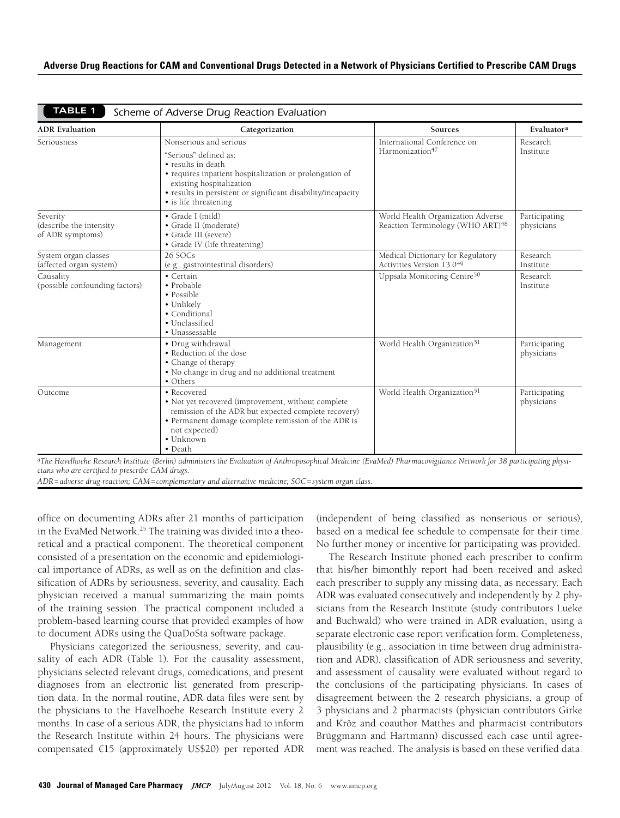| <b>ADR</b> Evaluation                                   | Categorization                                                                                                                                                                                                                     | Sources                                                                           | Evaluator <sup>a</sup>      |  |
|---------------------------------------------------------|------------------------------------------------------------------------------------------------------------------------------------------------------------------------------------------------------------------------------------|-----------------------------------------------------------------------------------|-----------------------------|--|
| Seriousness                                             | Nonserious and serious                                                                                                                                                                                                             | International Conference on<br>Harmonization <sup>47</sup>                        | Research<br>Institute       |  |
|                                                         | "Serious" defined as:<br>• results in death<br>• requires inpatient hospitalization or prolongation of<br>existing hospitalization<br>• results in persistent or significant disability/incapacity<br>• is life threatening        |                                                                                   |                             |  |
| Severity<br>(describe the intensity<br>of ADR symptoms) | • Grade I (mild)<br>• Grade II (moderate)<br>• Grade III (severe)<br>• Grade IV (life threatening)                                                                                                                                 | World Health Organization Adverse<br>Reaction Terminology (WHO ART) <sup>48</sup> | Participating<br>physicians |  |
| System organ classes<br>(affected organ system)         | 26 SOCs<br>(e.g., gastrointestinal disorders)                                                                                                                                                                                      | Medical Dictionary for Regulatory<br>Activities Version 13.0 <sup>49</sup>        | Research<br>Institute       |  |
| Causality<br>(possible confounding factors)             | • Certain<br>• Probable<br>• Possible<br>• Unlikely<br>• Conditional<br>· Unclassified<br>· Unassessable                                                                                                                           | Uppsala Monitoring Centre <sup>50</sup>                                           | Research<br>Institute       |  |
| Management                                              | · Drug withdrawal<br>• Reduction of the dose<br>• Change of therapy<br>• No change in drug and no additional treatment<br>• Others                                                                                                 | World Health Organization <sup>51</sup>                                           | Participating<br>physicians |  |
| Outcome                                                 | • Recovered<br>• Not yet recovered (improvement, without complete<br>remission of the ADR but expected complete recovery)<br>• Permanent damage (complete remission of the ADR is<br>not expected)<br>$\bullet$ Unknown<br>• Death | World Health Organization <sup>51</sup>                                           | Participating<br>physicians |  |

*aThe Havelhoehe Research Institute (Berlin) administers the Evaluation of Anthroposophical Medicine (EvaMed) Pharmacovigilance Network for 38 participating physicians who are certified to prescribe CAM drugs.* 

*ADR=adverse drug reaction; CAM=complementary and alternative medicine; SOC=system organ class.*

office on documenting ADRs after 21 months of participation in the EvaMed Network.<sup>[25](http://www.ncbi.nlm.nih.gov/pmc/articles/PMC2728721/?tool=pubmed)</sup> The training was divided into a theoretical and a practical component. The theoretical component consisted of a presentation on the economic and epidemiological importance of ADRs, as well as on the definition and classification of ADRs by seriousness, severity, and causality. Each physician received a manual summarizing the main points of the training session. The practical component included a problem-based learning course that provided examples of how to document ADRs using the QuaDoSta software package.

Physicians categorized the seriousness, severity, and causality of each ADR (Table 1). For the causality assessment, physicians selected relevant drugs, comedications, and present diagnoses from an electronic list generated from prescription data. In the normal routine, ADR data files were sent by the physicians to the Havelhoehe Research Institute every 2 months. In case of a serious ADR, the physicians had to inform the Research Institute within 24 hours. The physicians were compensated €15 (approximately US\$20) per reported ADR (independent of being classified as nonserious or serious), based on a medical fee schedule to compensate for their time. No further money or incentive for participating was provided.

The Research Institute phoned each prescriber to confirm that his/her bimonthly report had been received and asked each prescriber to supply any missing data, as necessary. Each ADR was evaluated consecutively and independently by 2 physicians from the Research Institute (study contributors Lueke and Buchwald) who were trained in ADR evaluation, using a separate electronic case report verification form. Completeness, plausibility (e.g., association in time between drug administration and ADR), classification of ADR seriousness and severity, and assessment of causality were evaluated without regard to the conclusions of the participating physicians. In cases of disagreement between the 2 research physicians, a group of 3 physicians and 2 pharmacists (physician contributors Girke and Kröz and coauthor Matthes and pharmacist contributors Brüggmann and Hartmann) discussed each case until agreement was reached. The analysis is based on these verified data.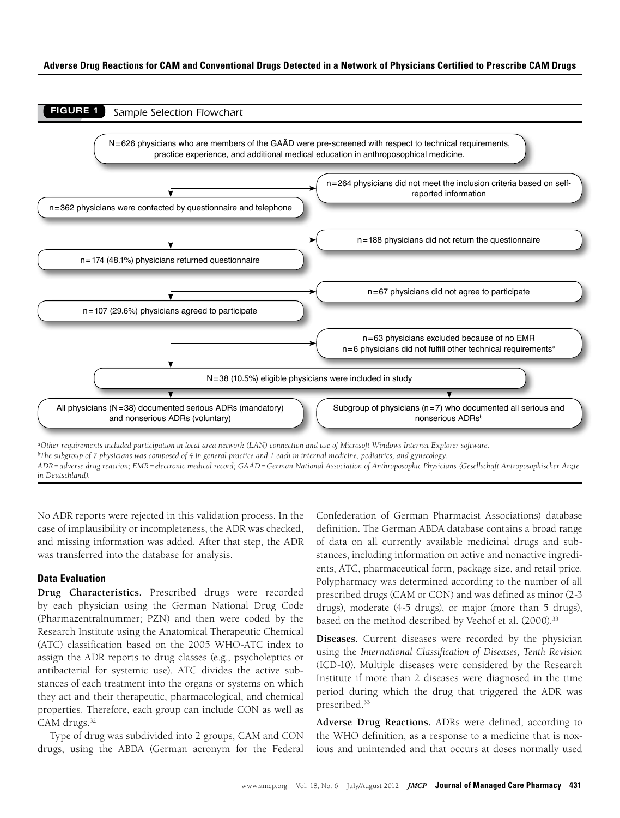

*in Deutschland).*

No ADR reports were rejected in this validation process. In the case of implausibility or incompleteness, the ADR was checked, and missing information was added. After that step, the ADR was transferred into the database for analysis.

## **Data Evaluation**

**Drug Characteristics.** Prescribed drugs were recorded by each physician using the German National Drug Code (Pharmazentralnummer; PZN) and then were coded by the Research Institute using the Anatomical Therapeutic Chemical (ATC) classification based on the 2005 WHO-ATC index to assign the ADR reports to drug classes (e.g., psycholeptics or antibacterial for systemic use). ATC divides the active substances of each treatment into the organs or systems on which they act and their therapeutic, pharmacological, and chemical properties. Therefore, each group can include CON as well as CAM drugs.<sup>32</sup>

Type of drug was subdivided into 2 groups, CAM and CON drugs, using the ABDA (German acronym for the Federal Confederation of German Pharmacist Associations) database definition. The German ABDA database contains a broad range of data on all currently available medicinal drugs and substances, including information on active and nonactive ingredients, ATC, pharmaceutical form, package size, and retail price. Polypharmacy was determined according to the number of all prescribed drugs (CAM or CON) and was defined as minor (2-3 drugs), moderate (4-5 drugs), or major (more than 5 drugs), based on the method described by Veehof et al. (2000).<sup>33</sup>

**Diseases.** Current diseases were recorded by the physician using the *International Classification of Diseases, Tenth Revision*  (ICD-10). Multiple diseases were considered by the Research Institute if more than 2 diseases were diagnosed in the time period during which the drug that triggered the ADR was prescribed.<sup>[33](http://fampra.oxfordjournals.org/content/17/3/261.long)</sup>

**Adverse Drug Reactions.** ADRs were defined, according to the WHO definition, as a response to a medicine that is noxious and unintended and that occurs at doses normally used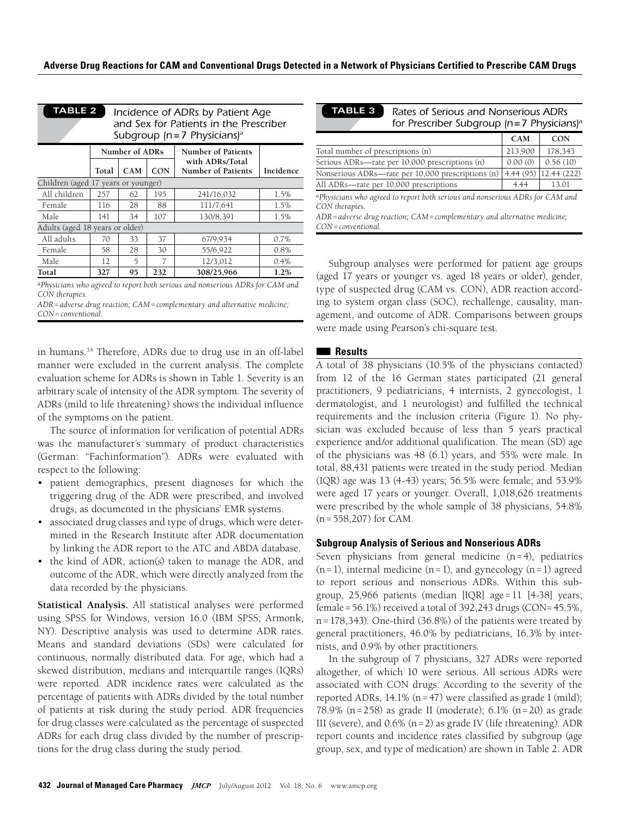| <b>TABLE 2</b><br>Incidence of ADRs by Patient Age<br>and Sex for Patients in the Prescriber<br>Subgroup ( $n=7$ Physicians) <sup>a</sup> |                |            |            |                                              |           |
|-------------------------------------------------------------------------------------------------------------------------------------------|----------------|------------|------------|----------------------------------------------|-----------|
|                                                                                                                                           | Number of ADRs |            |            | <b>Number of Patients</b>                    |           |
|                                                                                                                                           | Total          | <b>CAM</b> | <b>CON</b> | with ADRs/Total<br><b>Number of Patients</b> | Incidence |
| Children (aged 17 years or younger)                                                                                                       |                |            |            |                                              |           |
| All children                                                                                                                              | 257            | 62         | 195        | 241/16,032                                   | 1.5%      |
| Female                                                                                                                                    | 116            | 28         | 88         | 111/7,641                                    | 1.5%      |
| Male                                                                                                                                      | 141            | 34         | 107        | 130/8,391                                    | 1.5%      |
| Adults (aged 18 years or older)                                                                                                           |                |            |            |                                              |           |
| All adults                                                                                                                                | 70             | 33         | 37         | 67/9,934                                     | 0.7%      |
| Female                                                                                                                                    | 58             | 28         | 30         | 55/6,922                                     | 0.8%      |
| Male                                                                                                                                      | 12             | 5          | 7          | 12/3,012                                     | 0.4%      |
| Total                                                                                                                                     | 327            | 95         | 232        | 308/25,966                                   | 1.2%      |
|                                                                                                                                           |                |            |            |                                              |           |

*aPhysicians who agreed to report both serious and nonserious ADRs for CAM and CON therapies.*

*ADR=adverse drug reaction; CAM=complementary and alternative medicine; CON=conventional.*

in humans.34 Therefore, ADRs due to drug use in an off-label manner were excluded in the current analysis. The complete evaluation scheme for ADRs is shown in Table 1. Severity is an arbitrary scale of intensity of the ADR symptom. The severity of ADRs (mild to life threatening) shows the individual influence of the symptoms on the patient.

The source of information for verification of potential ADRs was the manufacturer´s summary of product characteristics (German: "Fachinformation"). ADRs were evaluated with respect to the following:

- • patient demographics, present diagnoses for which the triggering drug of the ADR were prescribed, and involved drugs, as documented in the physicians' EMR systems.
- • associated drug classes and type of drugs, which were determined in the Research Institute after ADR documentation by linking the ADR report to the ATC and ABDA database.
- the kind of ADR, action(s) taken to manage the ADR, and outcome of the ADR, which were directly analyzed from the data recorded by the physicians.

**Statistical Analysis.** All statistical analyses were performed using SPSS for Windows, version 16.0 (IBM SPSS, Armonk, NY). Descriptive analysis was used to determine ADR rates. Means and standard deviations (SDs) were calculated for continuous, normally distributed data. For age, which had a skewed distribution, medians and interquartile ranges (IQRs) were reported. ADR incidence rates were calculated as the percentage of patients with ADRs divided by the total number of patients at risk during the study period. ADR frequencies for drug classes were calculated as the percentage of suspected ADRs for each drug class divided by the number of prescriptions for the drug class during the study period.

| <b>TABLE 3</b>                                                                                              | Rates of Serious and Nonserious ADRs<br>for Prescriber Subgroup ( $n=7$ Physicians) <sup>a</sup> |             |  |  |  |
|-------------------------------------------------------------------------------------------------------------|--------------------------------------------------------------------------------------------------|-------------|--|--|--|
|                                                                                                             | CAM                                                                                              | <b>CON</b>  |  |  |  |
| Total number of prescriptions (n)                                                                           | 213,900                                                                                          | 178,343     |  |  |  |
| Serious ADRs—rate per 10,000 prescriptions (n)                                                              | 0.00(0)                                                                                          | 0.56(10)    |  |  |  |
| Nonserious ADRs—rate per 10,000 prescriptions (n)                                                           | 4.44 (95)                                                                                        | 12.44 (222) |  |  |  |
| All ADRs—rate per 10,000 prescriptions                                                                      | 4.44                                                                                             | 13.01       |  |  |  |
| <sup>a</sup> Physicians who agreed to report both serious and nonserious ADRs for CAM and<br>CON therapies. |                                                                                                  |             |  |  |  |
| $ADR = adverse$ drug reaction; $CAM = complementary$ and alternative medicine;<br>$CON=conventional$ .      |                                                                                                  |             |  |  |  |

Subgroup analyses were performed for patient age groups (aged 17 years or younger vs. aged 18 years or older), gender, type of suspected drug (CAM vs. CON), ADR reaction according to system organ class (SOC), rechallenge, causality, management, and outcome of ADR. Comparisons between groups were made using Pearson's chi-square test.

## ■■  **Results**

A total of 38 physicians (10.5% of the physicians contacted) from 12 of the 16 German states participated (21 general practitioners, 9 pediatricians, 4 internists, 2 gynecologist, 1 dermatologist, and 1 neurologist) and fulfilled the technical requirements and the inclusion criteria (Figure 1). No physician was excluded because of less than 5 years practical experience and/or additional qualification. The mean (SD) age of the physicians was 48 (6.1) years, and 55% were male. In total, 88,431 patients were treated in the study period. Median (IQR) age was 13 (4-43) years; 56.5% were female; and 53.9% were aged 17 years or younger. Overall, 1,018,626 treatments were prescribed by the whole sample of 38 physicians, 54.8% (n=558,207) for CAM.

#### **Subgroup Analysis of Serious and Nonserious ADRs**

Seven physicians from general medicine  $(n=4)$ , pediatrics  $(n=1)$ , internal medicine  $(n=1)$ , and gynecology  $(n=1)$  agreed to report serious and nonserious ADRs. Within this subgroup, 25,966 patients (median [IQR] age=11 [4-38] years; female=56.1%) received a total of 392,243 drugs (CON=45.5%, n=178,343). One-third (36.8%) of the patients were treated by general practitioners, 46.0% by pediatricians, 16.3% by internists, and 0.9% by other practitioners.

In the subgroup of 7 physicians, 327 ADRs were reported altogether, of which 10 were serious. All serious ADRs were associated with CON drugs. According to the severity of the reported ADRs, 14.1% (n=47) were classified as grade I (mild); 78.9% (n=258) as grade II (moderate); 6.1% (n=20) as grade III (severe), and 0.6% (n=2) as grade IV (life threatening). ADR report counts and incidence rates classified by subgroup (age group, sex, and type of medication) are shown in Table 2. ADR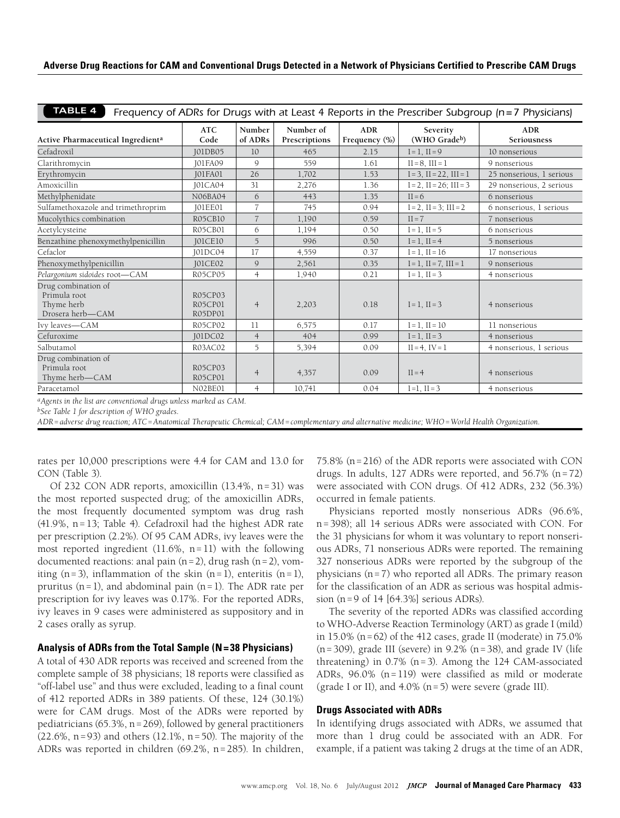| Adverse Drug Reactions for CAM and Conventional Drugs Detected in a Network of Physicians Certified to Prescribe CAM Drugs |  |
|----------------------------------------------------------------------------------------------------------------------------|--|
|                                                                                                                            |  |

| <b>TABLE 4</b><br>Frequency of ADRs for Drugs with at Least 4 Reports in the Prescriber Subgroup (n=7 Physicians) |                               |                   |                            |                             |                                 |                           |
|-------------------------------------------------------------------------------------------------------------------|-------------------------------|-------------------|----------------------------|-----------------------------|---------------------------------|---------------------------|
| Active Pharmaceutical Ingredient <sup>a</sup>                                                                     | <b>ATC</b><br>Code            | Number<br>of ADRs | Number of<br>Prescriptions | <b>ADR</b><br>Frequency (%) | Severity<br>(WHO Gradeb)        | <b>ADR</b><br>Seriousness |
| Cefadroxil                                                                                                        | <b>IO1DB05</b>                | 10 <sup>°</sup>   | 465                        | 2.15                        | $I = 1$ , $II = 9$              | 10 nonserious             |
| Clarithromycin                                                                                                    | <b>IO1FA09</b>                | $\mathsf{Q}$      | 559                        | 1.61                        | $II = 8$ . $III = 1$            | 9 nonserious              |
| Erythromycin                                                                                                      | <b>JO1FA01</b>                | 26                | 1,702                      | 1.53                        | $I = 3$ , $II = 22$ , $III = 1$ | 25 nonserious, 1 serious  |
| Amoxicillin                                                                                                       | <b>JO1CA04</b>                | 31                | 2,276                      | 1.36                        | $I = 2$ , $II = 26$ ; $III = 3$ | 29 nonserious, 2 serious  |
| Methylphenidate                                                                                                   | N06BA04                       | 6                 | 443                        | 1.35                        | $II = 6$                        | 6 nonserious              |
| Sulfamethoxazole and trimethroprim                                                                                | <b>IO1EE01</b>                | $\overline{7}$    | 745                        | 0.94                        | $I = 2$ , $II = 3$ ; $III = 2$  | 6 nonserious, 1 serious   |
| Mucolythics combination                                                                                           | <b>R05CB10</b>                | $\overline{7}$    | 1,190                      | 0.59                        | $II = 7$                        | 7 nonserious              |
| Acetylcysteine                                                                                                    | R05CB01                       | 6                 | 1,194                      | 0.50                        | $I = 1$ , $II = 5$              | 6 nonserious              |
| Benzathine phenoxymethylpenicillin                                                                                | <b>JO1CE10</b>                | 5                 | 996                        | 0.50                        | $I = 1$ , $II = 4$              | 5 nonserious              |
| Cefaclor                                                                                                          | <b>JO1DC04</b>                | 17                | 4,559                      | 0.37                        | $I = 1$ , $II = 16$             | 17 nonserious             |
| Phenoxymethylpenicillin                                                                                           | <b>JO1CE02</b>                | 9                 | 2,561                      | 0.35                        | $I = 1$ , $II = 7$ , $III = 1$  | 9 nonserious              |
| Pelargonium sidoides root-CAM                                                                                     | R05CP05                       | $\overline{4}$    | 1,940                      | 0.21                        | $I = 1$ , $II = 3$              | 4 nonserious              |
| Drug combination of<br>Primula root<br>Thyme herb<br>Drosera herb-CAM                                             | R05CP03<br>R05CP01<br>R05DP01 | $\overline{4}$    | 2,203                      | 0.18                        | $I = 1$ , $II = 3$              | 4 nonserious              |
| Ivy leaves-CAM                                                                                                    | R05CP02                       | 11                | 6,575                      | 0.17                        | $I = 1$ , $II = 10$             | 11 nonserious             |
| Cefuroxime                                                                                                        | <b>JO1DC02</b>                | $\overline{4}$    | 404                        | 0.99                        | $I = 1$ , $II = 3$              | 4 nonserious              |
| Salbutamol                                                                                                        | R03AC02                       | 5                 | 5,394                      | 0.09                        | $II = 4$ , $IV = 1$             | 4 nonserious, 1 serious   |
| Drug combination of<br>Primula root<br>Thyme herb-CAM                                                             | R05CP03<br>R05CP01            | $\overline{4}$    | 4,357                      | 0.09                        | $II = 4$                        | 4 nonserious              |
| Paracetamol                                                                                                       | N02BE01                       | $\overline{4}$    | 10,741                     | 0.04                        | $I = 1$ , $II = 3$              | 4 nonserious              |

*aAgents in the list are conventional drugs unless marked as CAM.*

*bSee Table 1 for description of WHO grades.*

*ADR=adverse drug reaction; ATC=Anatomical Therapeutic Chemical; CAM=complementary and alternative medicine; WHO=World Health Organization.*

rates per 10,000 prescriptions were 4.4 for CAM and 13.0 for CON (Table 3).

Of 232 CON ADR reports, amoxicillin (13.4%, n=31) was the most reported suspected drug; of the amoxicillin ADRs, the most frequently documented symptom was drug rash (41.9%, n=13; Table 4). Cefadroxil had the highest ADR rate per prescription (2.2%). Of 95 CAM ADRs, ivy leaves were the most reported ingredient  $(11.6\%, n=11)$  with the following documented reactions: anal pain  $(n=2)$ , drug rash  $(n=2)$ , vomiting  $(n=3)$ , inflammation of the skin  $(n=1)$ , enteritis  $(n=1)$ , pruritus  $(n=1)$ , and abdominal pain  $(n=1)$ . The ADR rate per prescription for ivy leaves was 0.17%. For the reported ADRs, ivy leaves in 9 cases were administered as suppository and in 2 cases orally as syrup.

## **Analysis of ADRs from the Total Sample (N=38 Physicians)**

A total of 430 ADR reports was received and screened from the complete sample of 38 physicians; 18 reports were classified as "off-label use" and thus were excluded, leading to a final count of 412 reported ADRs in 389 patients. Of these, 124 (30.1%) were for CAM drugs. Most of the ADRs were reported by pediatricians (65.3%, n=269), followed by general practitioners  $(22.6\%, n=93)$  and others  $(12.1\%, n=50)$ . The majority of the ADRs was reported in children (69.2%, n=285). In children, 75.8% (n=216) of the ADR reports were associated with CON drugs. In adults, 127 ADRs were reported, and  $56.7\%$  (n=72) were associated with CON drugs. Of 412 ADRs, 232 (56.3%) occurred in female patients.

Physicians reported mostly nonserious ADRs (96.6%, n=398); all 14 serious ADRs were associated with CON. For the 31 physicians for whom it was voluntary to report nonserious ADRs, 71 nonserious ADRs were reported. The remaining 327 nonserious ADRs were reported by the subgroup of the physicians (n=7) who reported all ADRs. The primary reason for the classification of an ADR as serious was hospital admission (n=9 of 14 [64.3%] serious ADRs).

The severity of the reported ADRs was classified according to WHO-Adverse Reaction Terminology (ART) as grade I (mild) in 15.0% ( $n=62$ ) of the 412 cases, grade II (moderate) in 75.0%  $(n=309)$ , grade III (severe) in 9.2%  $(n=38)$ , and grade IV (life threatening) in  $0.7\%$  (n=3). Among the 124 CAM-associated ADRs, 96.0% (n=119) were classified as mild or moderate (grade I or II), and 4.0% (n=5) were severe (grade III).

#### **Drugs Associated with ADRs**

In identifying drugs associated with ADRs, we assumed that more than 1 drug could be associated with an ADR. For example, if a patient was taking 2 drugs at the time of an ADR,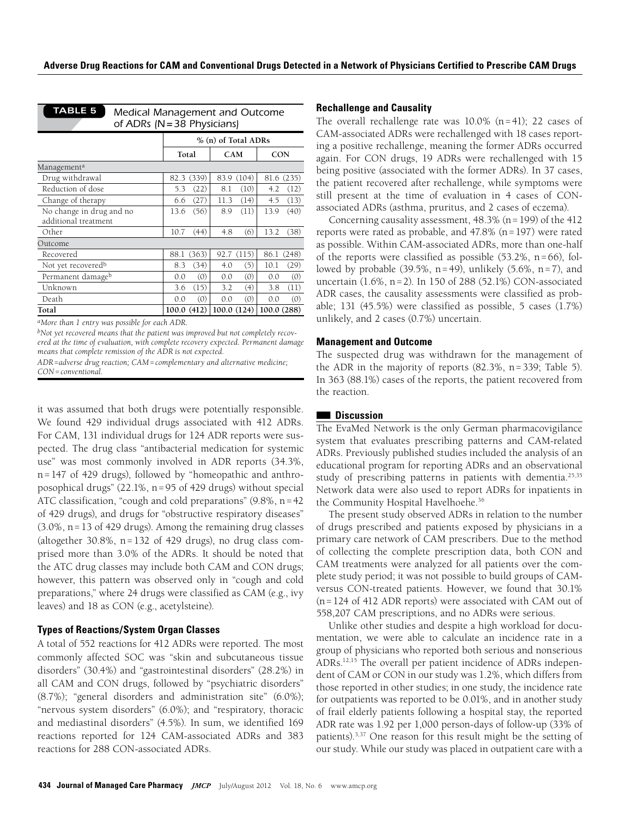| % (n) of Total ADRs |            |                                                                  |  |
|---------------------|------------|------------------------------------------------------------------|--|
| Total               | <b>CAM</b> | <b>CON</b>                                                       |  |
|                     |            |                                                                  |  |
| (339)               | (104)      | 81.6                                                             |  |
| 82.3                | 83.9       | (235)                                                            |  |
| (22)                | (10)       | (12)                                                             |  |
| 5.3                 | 8.1        | 4.2                                                              |  |
| (27)                | (14)       | (13)                                                             |  |
| 6.6                 | 11.3       | 4.5                                                              |  |
| (56)                | (11)       | (40)                                                             |  |
| 13.6                | 8.9        | 13.9                                                             |  |
| 10.7                | (6)        | 13.2                                                             |  |
| (44)                | 4.8        | (38)                                                             |  |
|                     |            |                                                                  |  |
| (363)<br>88.1       | 92.7 (115) | 86.1<br>(248)                                                    |  |
| (34)                | (5)        | 10.1                                                             |  |
| 8.3                 | 4.0        | (29)                                                             |  |
| (0)                 | (0)        | 0.0                                                              |  |
| 0.0                 | 0.0        | (0)                                                              |  |
| (15)                | (4)        | 3.8                                                              |  |
| 3.6                 | 3.2        | (11)                                                             |  |
| (0)                 | (0)        | (0)                                                              |  |
| 0.0                 | 0.0        | 0.0                                                              |  |
| (412)<br>100.0      | 100.0(124) | 100.0(288)                                                       |  |
|                     |            | Medical Management and Outcome<br>of ADRs ( $N = 38$ Physicians) |  |

*aMore than 1 entry was possible for each ADR.*

*bNot yet recovered means that the patient was improved but not completely recovered at the time of evaluation, with complete recovery expected. Permanent damage means that complete remission of the ADR is not expected.*

it was assumed that both drugs were potentially responsible. We found 429 individual drugs associated with 412 ADRs. For CAM, 131 individual drugs for 124 ADR reports were suspected. The drug class "antibacterial medication for systemic use" was most commonly involved in ADR reports (34.3%, n=147 of 429 drugs), followed by "homeopathic and anthroposophical drugs" (22.1%, n=95 of 429 drugs) without special ATC classification, "cough and cold preparations" (9.8%, n=42 of 429 drugs), and drugs for "obstructive respiratory diseases" (3.0%, n=13 of 429 drugs). Among the remaining drug classes (altogether  $30.8\%$ , n=132 of 429 drugs), no drug class comprised more than 3.0% of the ADRs. It should be noted that the ATC drug classes may include both CAM and CON drugs; however, this pattern was observed only in "cough and cold preparations," where 24 drugs were classified as CAM (e.g., ivy leaves) and 18 as CON (e.g., acetylsteine).

## **Types of Reactions/System Organ Classes**

A total of 552 reactions for 412 ADRs were reported. The most commonly affected SOC was "skin and subcutaneous tissue disorders" (30.4%) and "gastrointestinal disorders" (28.2%) in all CAM and CON drugs, followed by "psychiatric disorders" (8.7%); "general disorders and administration site" (6.0%); "nervous system disorders" (6.0%); and "respiratory, thoracic and mediastinal disorders" (4.5%). In sum, we identified 169 reactions reported for 124 CAM-associated ADRs and 383 reactions for 288 CON-associated ADRs.

## **Rechallenge and Causality**

The overall rechallenge rate was 10.0% (n=41); 22 cases of CAM-associated ADRs were rechallenged with 18 cases reporting a positive rechallenge, meaning the former ADRs occurred again. For CON drugs, 19 ADRs were rechallenged with 15 being positive (associated with the former ADRs). In 37 cases, the patient recovered after rechallenge, while symptoms were still present at the time of evaluation in 4 cases of CONassociated ADRs (asthma, pruritus, and 2 cases of eczema).

Concerning causality assessment, 48.3% (n=199) of the 412 reports were rated as probable, and 47.8% (n=197) were rated as possible. Within CAM-associated ADRs, more than one-half of the reports were classified as possible  $(53.2\%, n=66)$ , followed by probable  $(39.5\%, n=49)$ , unlikely  $(5.6\%, n=7)$ , and uncertain (1.6%, n=2). In 150 of 288 (52.1%) CON-associated ADR cases, the causality assessments were classified as probable; 131 (45.5%) were classified as possible, 5 cases (1.7%) unlikely, and 2 cases (0.7%) uncertain.

### **Management and Outcome**

The suspected drug was withdrawn for the management of the ADR in the majority of reports (82.3%, n=339; Table 5). In 363 (88.1%) cases of the reports, the patient recovered from the reaction.

## ■■  **Discussion**

The EvaMed Network is the only German pharmacovigilance system that evaluates prescribing patterns and CAM-related ADRs. Previously published studies included the analysis of an educational program for reporting ADRs and an observational study of prescribing patterns in patients with dementia.<sup>25,[35](http://www.ncbi.nlm.nih.gov/pmc/articles/PMC3178479/?tool=pubmed)</sup> Network data were also used to report ADRs for inpatients in the Community Hospital Havelhoehe.<sup>[36](http://www.ncbi.nlm.nih.gov/pmc/articles/PMC3270557/?tool=pubmed)</sup>

The present study observed ADRs in relation to the number of drugs prescribed and patients exposed by physicians in a primary care network of CAM prescribers. Due to the method of collecting the complete prescription data, both CON and CAM treatments were analyzed for all patients over the complete study period; it was not possible to build groups of CAMversus CON-treated patients. However, we found that 30.1% (n=124 of 412 ADR reports) were associated with CAM out of 558,207 CAM prescriptions, and no ADRs were serious.

Unlike other studies and despite a high workload for documentation, we were able to calculate an incidence rate in a group of physicians who reported both serious and nonserious ADRs.12,15 The overall per patient incidence of ADRs independent of CAM or CON in our study was 1.2%, which differs from those reported in other studies; in one study, the incidence rate for outpatients was reported to be 0.01%, and in another study of frail elderly patients following a hospital stay, the reported ADR rate was 1.92 per 1,000 person-days of follow-up (33% of patients).3,37 One reason for this result might be the setting of our study. While our study was placed in outpatient care with a

*ADR=adverse drug reaction; CAM=complementary and alternative medicine; CON=conventional.*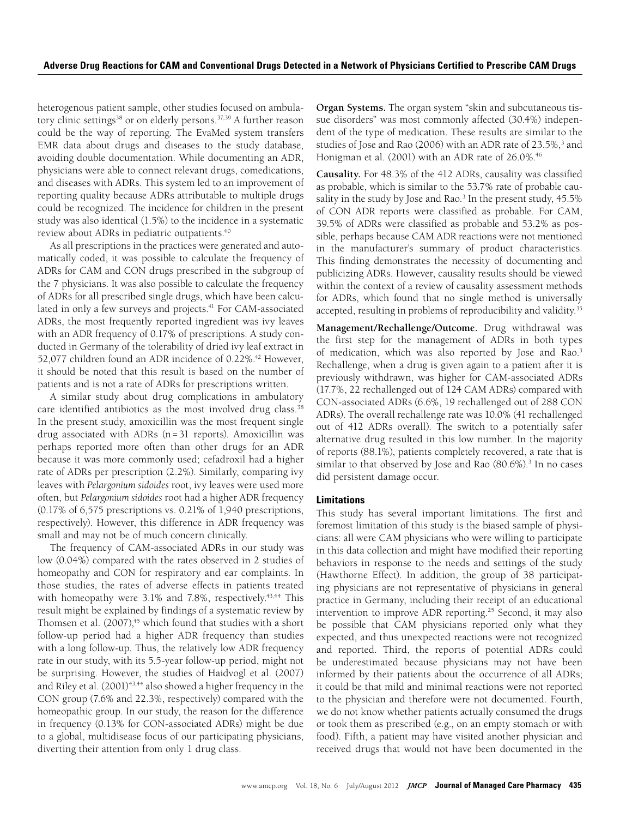heterogenous patient sample, other studies focused on ambula-tory clinic settings<sup>[38](http://www.ncbi.nlm.nih.gov/pmc/articles/PMC1495358/?tool=pubmed)</sup> or on elderly persons.<sup>37[,39](http://jama.jamanetwork.com/article.aspx?articleid=196099)</sup> A further reason could be the way of reporting. The EvaMed system transfers EMR data about drugs and diseases to the study database, avoiding double documentation. While documenting an ADR, physicians were able to connect relevant drugs, comedications, and diseases with ADRs. This system led to an improvement of reporting quality because ADRs attributable to multiple drugs could be recognized. The incidence for children in the present study was also identical (1.5%) to the incidence in a systematic review about ADRs in pediatric outpatients.<sup>40</sup>

As all prescriptions in the practices were generated and automatically coded, it was possible to calculate the frequency of ADRs for CAM and CON drugs prescribed in the subgroup of the 7 physicians. It was also possible to calculate the frequency of ADRs for all prescribed single drugs, which have been calculated in only a few surveys and projects.<sup>41</sup> For CAM-associated ADRs, the most frequently reported ingredient was ivy leaves with an ADR frequency of 0.17% of prescriptions. A study conducted in Germany of the tolerability of dried ivy leaf extract in 52,077 children found an ADR incidence of 0.22%.<sup>42</sup> However, it should be noted that this result is based on the number of patients and is not a rate of ADRs for prescriptions written.

A similar study about drug complications in ambulatory care identified antibiotics as the most involved drug class.<sup>[38](http://www.ncbi.nlm.nih.gov/pmc/articles/PMC1495358/?tool=pubmed)</sup> In the present study, amoxicillin was the most frequent single drug associated with ADRs (n=31 reports). Amoxicillin was perhaps reported more often than other drugs for an ADR because it was more commonly used; cefadroxil had a higher rate of ADRs per prescription (2.2%). Similarly, comparing ivy leaves with *Pelargonium sidoides* root, ivy leaves were used more often, but *Pelargonium sidoides* root had a higher ADR frequency (0.17% of 6,575 prescriptions vs. 0.21% of 1,940 prescriptions, respectively). However, this difference in ADR frequency was small and may not be of much concern clinically.

The frequency of CAM-associated ADRs in our study was low (0.04%) compared with the rates observed in 2 studies of homeopathy and CON for respiratory and ear complaints. In those studies, the rates of adverse effects in patients treated with homeopathy were  $3.1\%$  and  $7.8\%$ , respectively.<sup>43,44</sup> This result might be explained by findings of a systematic review by Thomsen et al.  $(2007)^{45}$  which found that studies with a short follow-up period had a higher ADR frequency than studies with a long follow-up. Thus, the relatively low ADR frequency rate in our study, with its 5.5-year follow-up period, might not be surprising. However, the studies of Haidvogl et al. (2007) and Riley et al. (2001)<sup>[43,](http://www.ncbi.nlm.nih.gov/pmc/articles/PMC1831487/?tool=pubmed)44</sup> also showed a higher frequency in the CON group (7.6% and 22.3%, respectively) compared with the homeopathic group. In our study, the reason for the difference in frequency (0.13% for CON-associated ADRs) might be due to a global, multidisease focus of our participating physicians, diverting their attention from only 1 drug class.

**Organ Systems.** The organ system "skin and subcutaneous tissue disorders" was most commonly affected (30.4%) independent of the type of medication. These results are similar to the studies of Jose and Rao (2006) with an ADR rate of 23.5%,<sup>3</sup> and Honigman et al. (2001) with an ADR rate of 26.0%.<sup>46</sup>

**Causality.** For 48.3% of the 412 ADRs, causality was classified as probable, which is similar to the 53.7% rate of probable causality in the study by Jose and Rao.<sup>3</sup> In the present study, 45.5% of CON ADR reports were classified as probable. For CAM, 39.5% of ADRs were classified as probable and 53.2% as possible, perhaps because CAM ADR reactions were not mentioned in the manufacturer's summary of product characteristics. This finding demonstrates the necessity of documenting and publicizing ADRs. However, causality results should be viewed within the context of a review of causality assessment methods for ADRs, which found that no single method is universally accepted, resulting in problems of reproducibility and validity.<sup>35</sup>

**Management/Rechallenge/Outcome.** Drug withdrawal was the first step for the management of ADRs in both types of medication, which was also reported by Jose and Rao.<sup>3</sup> Rechallenge, when a drug is given again to a patient after it is previously withdrawn, was higher for CAM-associated ADRs (17.7%, 22 rechallenged out of 124 CAM ADRs) compared with CON-associated ADRs (6.6%, 19 rechallenged out of 288 CON ADRs). The overall rechallenge rate was 10.0% (41 rechallenged out of 412 ADRs overall). The switch to a potentially safer alternative drug resulted in this low number. In the majority of reports (88.1%), patients completely recovered, a rate that is similar to that observed by Jose and Rao (80.6%).<sup>3</sup> In no cases did persistent damage occur.

## **Limitations**

This study has several important limitations. The first and foremost limitation of this study is the biased sample of physicians: all were CAM physicians who were willing to participate in this data collection and might have modified their reporting behaviors in response to the needs and settings of the study (Hawthorne Effect). In addition, the group of 38 participating physicians are not representative of physicians in general practice in Germany, including their receipt of an educational intervention to improve ADR reporting.<sup>25</sup> Second, it may also be possible that CAM physicians reported only what they expected, and thus unexpected reactions were not recognized and reported. Third, the reports of potential ADRs could be underestimated because physicians may not have been informed by their patients about the occurrence of all ADRs; it could be that mild and minimal reactions were not reported to the physician and therefore were not documented. Fourth, we do not know whether patients actually consumed the drugs or took them as prescribed (e.g., on an empty stomach or with food). Fifth, a patient may have visited another physician and received drugs that would not have been documented in the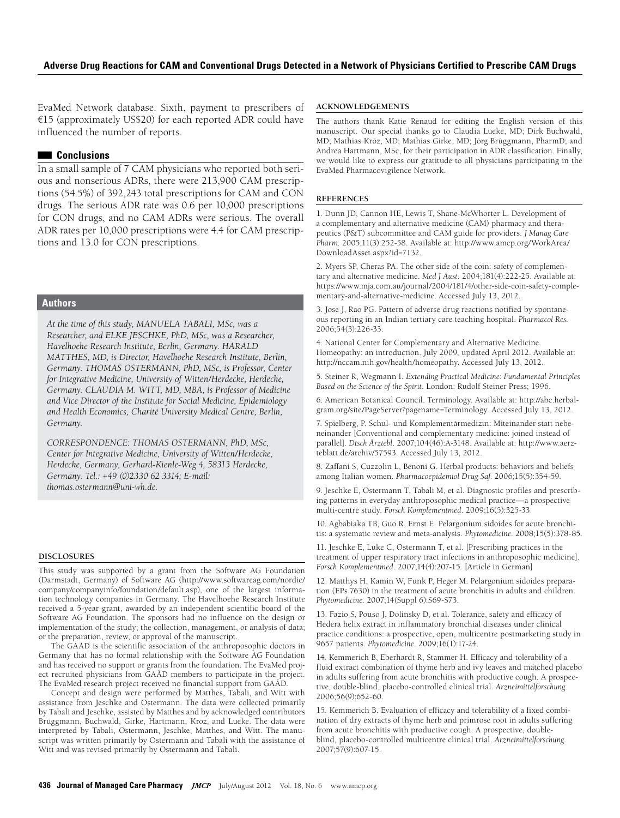EvaMed Network database. Sixth, payment to prescribers of €15 (approximately US\$20) for each reported ADR could have influenced the number of reports.

#### ■■  **Conclusions**

In a small sample of 7 CAM physicians who reported both serious and nonserious ADRs, there were 213,900 CAM prescriptions (54.5%) of 392,243 total prescriptions for CAM and CON drugs. The serious ADR rate was 0.6 per 10,000 prescriptions for CON drugs, and no CAM ADRs were serious. The overall ADR rates per 10,000 prescriptions were 4.4 for CAM prescriptions and 13.0 for CON prescriptions.

#### **Authors**

*At the time of this study, MANUELA TABALI, MSc, was a Researcher, and ELKE JESCHKE, PhD, MSc, was a Researcher, Havelhoehe Research Institute, Berlin, Germany. HARALD MATTHES, MD, is Director, Havelhoehe Research Institute, Berlin, Germany. THOMAS OSTERMANN, PhD, MSc, is Professor, Center for Integrative Medicine, University of Witten/Herdecke, Herdecke, Germany. CLAUDIA M. WITT, MD, MBA, is Professor of Medicine and Vice Director of the Institute for Social Medicine, Epidemiology and Health Economics, Charité University Medical Centre, Berlin, Germany.* 

*CORRESPONDENCE: THOMAS OSTERMANN, PhD, MSc, Center for Integrative Medicine, University of Witten/Herdecke, Herdecke, Germany, Gerhard-Kienle-Weg 4, 58313 Herdecke, Germany. Tel.: +49 (0)2330 62 3314; E-mail: [thomas.ostermann@uni-wh.de](mailto:thomas.ostermann%40uni-wh.de?subject=).*

#### **DISCLOSURES**

This study was supported by a grant from the Software AG Foundation (Darmstadt, Germany) of Software AG [\(http://www.softwareag.com/nordic/](http://www.softwareag.com/nordic/company/companyinfo/foundation/default.asp) [company/companyinfo/foundation/default.asp](http://www.softwareag.com/nordic/company/companyinfo/foundation/default.asp)), one of the largest information technology companies in Germany. The Havelhoehe Research Institute received a 5-year grant, awarded by an independent scientific board of the Software AG Foundation. The sponsors had no influence on the design or implementation of the study; the collection, management, or analysis of data; or the preparation, review, or approval of the manuscript.

The GAÄD is the scientific association of the anthroposophic doctors in Germany that has no formal relationship with the Software AG Foundation and has received no support or grants from the foundation. The EvaMed project recruited physicians from GAÄD members to participate in the project. The EvaMed research project received no financial support from GAÄD.

Concept and design were performed by Matthes, Tabali, and Witt with assistance from Jeschke and Ostermann. The data were collected primarily by Tabali and Jeschke, assisted by Matthes and by acknowledged contributors Brüggmann, Buchwald, Girke, Hartmann, Kröz, and Lueke. The data were interpreted by Tabali, Ostermann, Jeschke, Matthes, and Witt. The manuscript was written primarily by Ostermann and Tabali with the assistance of Witt and was revised primarily by Ostermann and Tabali.

#### **ACKNOWLEDGEMENTS**

The authors thank Katie Renaud for editing the English version of this manuscript. Our special thanks go to Claudia Lueke, MD; Dirk Buchwald, MD; Mathias Kröz, MD; Mathias Girke, MD; Jörg Brüggmann, PharmD; and Andrea Hartmann, MSc, for their participation in ADR classification. Finally, we would like to express our gratitude to all physicians participating in the EvaMed Pharmacovigilence Network.

#### **References**

1. Dunn JD, Cannon HE, Lewis T, Shane-McWhorter L. Development of a complementary and alternative medicine (CAM) pharmacy and therapeutics (P&T) subcommittee and CAM guide for providers. *J Manag Care Pharm.* 2005;11(3):252-58. Available at: [http://www.amcp.org/WorkArea/](http://www.amcp.org/WorkArea/DownloadAsset.aspx?id=7132) [DownloadAsset.aspx?id=7132.](http://www.amcp.org/WorkArea/DownloadAsset.aspx?id=7132)

2. Myers SP, Cheras PA. The other side of the coin: safety of complementary and alternative medicine. *Med J Aust*. 2004;181(4):222-25. Available at: [https://www.mja.com.au/journal/2004/181/4/other-side-coin-safety-comple](https://www.mja.com.au/journal/2004/181/4/other-side-coin-safety-complementary-and-alternative-medicine)[mentary-and-alternative-medicine](https://www.mja.com.au/journal/2004/181/4/other-side-coin-safety-complementary-and-alternative-medicine). Accessed July 13, 2012.

3. Jose J, Rao PG. Pattern of adverse drug reactions notified by spontaneous reporting in an Indian tertiary care teaching hospital. *Pharmacol Res.*  2006;54(3):226-33.

4. National Center for Complementary and Alternative Medicine. Homeopathy: an introduction. July 2009, updated April 2012. Available at: <http://nccam.nih.gov/health/homeopathy>. Accessed July 13, 2012.

5. Steiner R, Wegmann I. *Extending Practical Medicine: Fundamental Principles Based on the Science of the Spirit*. London: Rudolf Steiner Press; 1996.

6. American Botanical Council. Terminology. Available at: [http://abc.herbal](http://abc.herbalgram.org/site/PageServer?pagename=Terminology)[gram.org/site/PageServer?pagename=Terminology.](http://abc.herbalgram.org/site/PageServer?pagename=Terminology) Accessed July 13, 2012.

7. Spielberg, P. Schul- und Komplementärmedizin: Miteinander statt nebeneinander [Conventional and complementary medicine: joined instead of parallel]. *Dtsch Ärztebl*. 2007;104(46):A-3148. Available at: [http://www.aerz](http://www.aerzteblatt.de/archiv/57593)[teblatt.de/archiv/57593](http://www.aerzteblatt.de/archiv/57593). Accessed July 13, 2012.

8. Zaffani S, Cuzzolin L, Benoni G. Herbal products: behaviors and beliefs among Italian women. *Pharmacoepidemiol Drug Saf*. 2006;15(5):354-59.

9. Jeschke E, Ostermann T, Tabali M, et al. Diagnostic profiles and prescribing patterns in everyday anthroposophic medical practice—a prospective multi-centre study. *Forsch Komplementmed*. 2009;16(5):325-33.

10. Agbabiaka TB, Guo R, Ernst E. Pelargonium sidoides for acute bronchitis: a systematic review and meta-analysis. *Phytomedicine*. 2008;15(5):378-85.

11. Jeschke E, Lüke C, Ostermann T, et al. [Prescribing practices in the treatment of upper respiratory tract infections in anthroposophic medicine]. *Forsch Komplementmed*. 2007;14(4):207-15. [Article in German]

12. Matthys H, Kamin W, Funk P, Heger M. Pelargonium sidoides preparation (EPs 7630) in the treatment of acute bronchitis in adults and children. *Phytomedicine*. 2007;14(Suppl 6):S69-S73.

13. Fazio S, Pouso J, Dolinsky D, et al. Tolerance, safety and efficacy of Hedera helix extract in inflammatory bronchial diseases under clinical practice conditions: a prospective, open, multicentre postmarketing study in 9657 patients. *Phytomedicine*. 2009;16(1):17-24.

14. Kemmerich B, Eberhardt R, Stammer H. Efficacy and tolerability of a fluid extract combination of thyme herb and ivy leaves and matched placebo in adults suffering from acute bronchitis with productive cough. A prospective, double-blind, placebo-controlled clinical trial. *Arzneimittelforschung*. 2006;56(9):652-60.

15. Kemmerich B. Evaluation of efficacy and tolerability of a fixed combination of dry extracts of thyme herb and primrose root in adults suffering from acute bronchitis with productive cough. A prospective, doubleblind, placebo-controlled multicentre clinical trial. *Arzneimittelforschung*. 2007;57(9):607-15.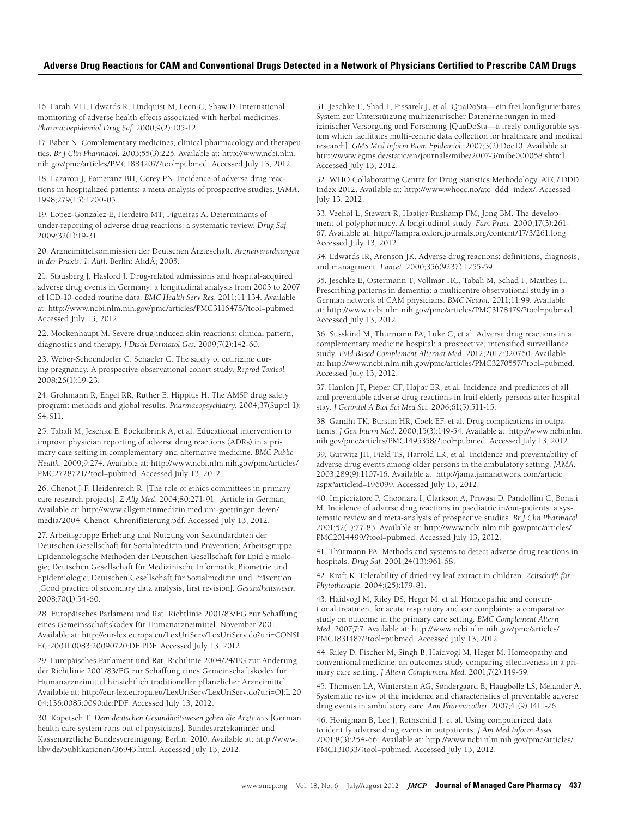16. Farah MH, Edwards R, Lindquist M, Leon C, Shaw D. International monitoring of adverse health effects associated with herbal medicines. *Pharmacoepidemiol Drug Saf*. 2000;9(2):105-12.

17. Baber N. Complementary medicines, clinical pharmacology and therapeutics. *Br J Clin Pharmacol*. 2003;55(3):225. Available at: [http://www.ncbi.nlm.](http://www.ncbi.nlm.nih.gov/pmc/articles/PMC1884207/?tool=pubmed) [nih.gov/pmc/articles/PMC1884207/?tool=pubmed.](http://www.ncbi.nlm.nih.gov/pmc/articles/PMC1884207/?tool=pubmed) Accessed July 13, 2012.

18. Lazarou J, Pomeranz BH, Corey PN. Incidence of adverse drug reactions in hospitalized patients: a meta-analysis of prospective studies. *JAMA*. 1998;279(15):1200-05.

19. Lopez-Gonzalez E, Herdeiro MT, Figueiras A. Determinants of under-reporting of adverse drug reactions: a systematic review. *Drug Saf.*  2009;32(1):19-31.

20. Arzneimittelkommission der Deutschen Ärzteschaft. *Arzneiverordnungen in der Praxis. 1. Aufl*. Berlin: AkdÄ; 2005.

21. Stausberg J, Hasford J. Drug-related admissions and hospital-acquired adverse drug events in Germany: a longitudinal analysis from 2003 to 2007 of ICD-10-coded routine data. *BMC Health Serv Res*. 2011;11:134. Available at: [http://www.ncbi.nlm.nih.gov/pmc/articles/PMC3116475/?tool=pubmed.](http://www.ncbi.nlm.nih.gov/pmc/articles/PMC3116475/?tool=pubmed) Accessed July 13, 2012.

22. Mockenhaupt M. Severe drug-induced skin reactions: clinical pattern, diagnostics and therapy. *J Dtsch Dermatol Ges*. 2009;7(2):142-60.

23. Weber-Schoendorfer C, Schaefer C. The safety of cetirizine during pregnancy. A prospective observational cohort study. *Reprod Toxicol.*  2008;26(1):19-23.

24. Grohmann R, Engel RR, Rüther E, Hippius H. The AMSP drug safety program: methods and global results. *Pharmacopsychiatry*. 2004;37(Suppl 1): S4-S11.

25. Tabali M, Jeschke E, Bockelbrink A, et al. Educational intervention to improve physician reporting of adverse drug reactions (ADRs) in a primary care setting in complementary and alternative medicine. *BMC Public Health*. 2009;9:274. Available at: [http://www.ncbi.nlm.nih.gov/pmc/articles/](http://www.ncbi.nlm.nih.gov/pmc/articles/PMC2728721/?tool=pubmed) [PMC2728721/?tool=pubmed.](http://www.ncbi.nlm.nih.gov/pmc/articles/PMC2728721/?tool=pubmed) Accessed July 13, 2012.

26. Chenot J-F, Heidenreich R. [The role of ethics committees in primary care research projects]. *Z Allg Med*. 2004;80:271-91. [Article in German] Available at: [http://www.allgemeinmedizin.med.uni-goettingen.de/en/](http://www.allgemeinmedizin.med.uni-goettingen.de/en/media/2004_Chenot_Chronifizierung.pdf) [media/2004\\_Chenot\\_Chronifizierung.pdf.](http://www.allgemeinmedizin.med.uni-goettingen.de/en/media/2004_Chenot_Chronifizierung.pdf) Accessed July 13, 2012.

27. Arbeitsgruppe Erhebung und Nutzung von Sekundärdaten der Deutschen Gesellschaft für Sozialmedizin und Prävention; Arbeitsgruppe Epidemiologische Methoden der Deutschen Gesellschaft für Epid e miologie; Deutschen Gesellschaft für Medizinische Informatik, Biometrie und Epidemiologie; Deutschen Gesellschaft für Sozialmedizin und Prävention [Good practice of secondary data analysis, first revision]. *Gesundheitswesen*. 2008;70(1):54-60.

28. Europäisches Parlament und Rat. Richtlinie 2001/83/EG zur Schaffung eines Gemeinsschaftskodex für Humanarzneimittel. November 2001. Available at: [http://eur-lex.europa.eu/LexUriServ/LexUriServ.do?uri=CONSL](http://eur-lex.europa.eu/LexUriServ/LexUriServ.do?uri=CONSLEG:2001L0083:20090720:DE:PDF) [EG:2001L0083:20090720:DE:PDF](http://eur-lex.europa.eu/LexUriServ/LexUriServ.do?uri=CONSLEG:2001L0083:20090720:DE:PDF). Accessed July 13, 2012.

29. Europäisches Parlament und Rat. Richtlinie 2004/24/EG zur Änderung der Richtlinie 2001/83/EG zur Schaffung eines Gemeinschaftskodex für Humanarzneimittel hinsichtlich traditioneller pflanzlicher Arzneimittel. Available at: [http://eur-lex.europa.eu/LexUriServ/LexUriServ.do?uri=OJ:L:20](http://eur-lex.europa.eu/LexUriServ/LexUriServ.do?uri=OJ:L:2004:136:0085:0090:de:PDF) [04:136:0085:0090:de:PDF](http://eur-lex.europa.eu/LexUriServ/LexUriServ.do?uri=OJ:L:2004:136:0085:0090:de:PDF). Accessed July 13, 2012.

30. Kopetsch T. *Dem deutschen Gesundheitswesen gehen die Ärzte aus* [German health care system runs out of physicians]. Bundesärztekammer und Kassenärztliche Bundesvereinigung: Berlin; 2010. Available at: [http://www.](http://www.kbv.de/publikationen/36943.html) [kbv.de/publikationen/36943.html](http://www.kbv.de/publikationen/36943.html). Accessed July 13, 2012.

31. Jeschke E, Shad F, Pissarek J, et al. QuaDoSta—ein frei konfigurierbares System zur Unterstützung multizentrischer Datenerhebungen in medizinischer Versorgung und Forschung [QuaDoSta—a freely configurable system which facilitates multi-centric data collection for healthcare and medical research]. *GMS Med Inform Biom Epidemiol.* 2007;3(2):Doc10. Available at: [http://www.egms.de/static/en/journals/mibe/2007-3/mibe000058.shtml.](http://www.egms.de/static/en/journals/mibe/2007-3/mibe000058.shtml) Accessed July 13, 2012.

32. WHO Collaborating Centre for Drug Statistics Methodology. ATC/ DDD Index 2012. Available at: [http://www.whocc.no/atc\\_ddd\\_index/.](http://www.whocc.no/atc_ddd_index/) Accessed July 13, 2012.

33. Veehof L, Stewart R, Haaijer-Ruskamp FM, Jong BM. The development of polypharmacy. A longitudinal study. *Fam Pract*. 2000;17(3):261- 67. Available at: <http://fampra.oxfordjournals.org/content/17/3/261.long>. Accessed July 13, 2012.

34. Edwards IR, Aronson JK. Adverse drug reactions: definitions, diagnosis, and management. *Lancet*. 2000;356(9237):1255-59.

35. Jeschke E, Ostermann T, Vollmar HC, Tabali M, Schad F, Matthes H. Prescribing patterns in dementia: a multicentre observational study in a German network of CAM physicians. *BMC Neurol.* 2011;11:99. Available at: [http://www.ncbi.nlm.nih.gov/pmc/articles/PMC3178479/?tool=pubmed.](http://www.ncbi.nlm.nih.gov/pmc/articles/PMC3178479/?tool=pubmed) Accessed July 13, 2012.

36. Süsskind M, Thürmann PA, Lüke C, et al. Adverse drug reactions in a complementary medicine hospital: a prospective, intensified surveillance study. *Evid Based Complement Alternat Med*. 2012;2012:320760. Available at: [http://www.ncbi.nlm.nih.gov/pmc/articles/PMC3270557/?tool=pubmed.](http://www.ncbi.nlm.nih.gov/pmc/articles/PMC3270557/?tool=pubmed) Accessed July 13, 2012.

37. Hanlon JT, Pieper CF, Hajjar ER, et al. Incidence and predictors of all and preventable adverse drug reactions in frail elderly persons after hospital stay. *J Gerontol A Biol Sci Med Sci.* 2006;61(5):511-15.

38. Gandhi TK, Burstin HR, Cook EF, et al. Drug complications in outpatients. *J Gen Intern Med*. 2000;15(3):149-54. Available at: [http://www.ncbi.nlm.](http://www.ncbi.nlm.nih.gov/pmc/articles/PMC1495358/?tool=pubmed) [nih.gov/pmc/articles/PMC1495358/?tool=pubmed.](http://www.ncbi.nlm.nih.gov/pmc/articles/PMC1495358/?tool=pubmed) Accessed July 13, 2012.

39. Gurwitz JH, Field TS, Harrold LR, et al. Incidence and preventability of adverse drug events among older persons in the ambulatory setting. *JAMA*. 2003;289(9):1107-16. Available at: [http://jama.jamanetwork.com/article.](http://jama.jamanetwork.com/article.aspx?articleid=196099) [aspx?articleid=196099](http://jama.jamanetwork.com/article.aspx?articleid=196099). Accessed July 13, 2012.

40. Impicciatore P, Choonara I, Clarkson A, Provasi D, Pandolfini C, Bonati M. Incidence of adverse drug reactions in paediatric in/out-patients: a systematic review and meta-analysis of prospective studies. *Br J Clin Pharmacol*. 2001;52(1):77-83. Available at: [http://www.ncbi.nlm.nih.gov/pmc/articles/](http://www.ncbi.nlm.nih.gov/pmc/articles/PMC2014499/?tool=pubmed) [PMC2014499/?tool=pubmed.](http://www.ncbi.nlm.nih.gov/pmc/articles/PMC2014499/?tool=pubmed) Accessed July 13, 2012.

41. Thürmann PA. Methods and systems to detect adverse drug reactions in hospitals. *Drug Saf*. 2001;24(13):961-68.

42. Kraft K. Tolerability of dried ivy leaf extract in children. *Zeitschrift für Phytotherapie.* 2004;(25):179-81.

43. Haidvogl M, Riley DS, Heger M, et al. Homeopathic and conventional treatment for acute respiratory and ear complaints: a comparative study on outcome in the primary care setting. *BMC Complement Altern Med*. 2007;7:7. Available at: [http://www.ncbi.nlm.nih.gov/pmc/articles/](http://www.ncbi.nlm.nih.gov/pmc/articles/PMC1831487/?tool=pubmed) [PMC1831487/?tool=pubmed](http://www.ncbi.nlm.nih.gov/pmc/articles/PMC1831487/?tool=pubmed). Accessed July 13, 2012.

44. Riley D, Fischer M, Singh B, Haidvogl M, Heger M. Homeopathy and conventional medicine: an outcomes study comparing effectiveness in a primary care setting. *J Altern Complement Med.* 2001;7(2):149-59.

45. Thomsen LA, Winterstein AG, Søndergaard B, Haugbølle LS, Melander A. Systematic review of the incidence and characteristics of preventable adverse drug events in ambulatory care. *Ann Pharmacother.* 2007;41(9):1411-26.

46. Honigman B, Lee J, Rothschild J, et al. Using computerized data to identify adverse drug events in outpatients. *J Am Med Inform Assoc.* 2001;8(3):254-66. Available at: [http://www.ncbi.nlm.nih.gov/pmc/articles/](http://www.ncbi.nlm.nih.gov/pmc/articles/PMC131033/?tool=pubmed) [PMC131033/?tool=pubmed.](http://www.ncbi.nlm.nih.gov/pmc/articles/PMC131033/?tool=pubmed) Accessed July 13, 2012.